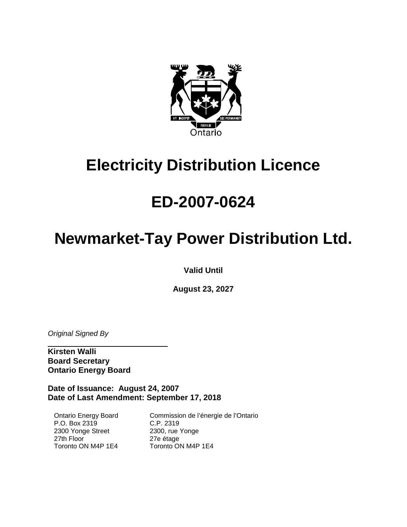

# **Electricity Distribution Licence**

# **ED-2007-0624**

# **Newmarket-Tay Power Distribution Ltd.**

**Valid Until**

**August 23, 2027**

*Original Signed By*

**Kirsten Walli Board Secretary Ontario Energy Board**

 $\overline{\phantom{a}}$  , which is a set of the set of the set of the set of the set of the set of the set of the set of the set of the set of the set of the set of the set of the set of the set of the set of the set of the set of th

**Date of Issuance: August 24, 2007 Date of Last Amendment: September 17, 2018**

Ontario Energy Board P.O. Box 2319 2300 Yonge Street 27th Floor Toronto ON M4P 1E4

Commission de l'énergie de l'Ontario C.P. 2319 2300, rue Yonge 27e étage Toronto ON M4P 1E4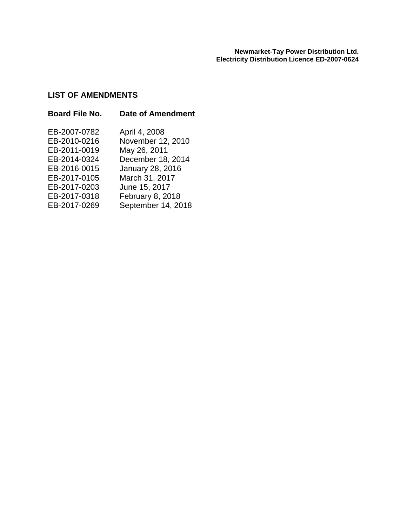# **LIST OF AMENDMENTS**

| <b>Board File No.</b> | <b>Date of Amendment</b> |
|-----------------------|--------------------------|
| EB-2007-0782          | April 4, 2008            |
| EB-2010-0216          | November 12, 2010        |
| EB-2011-0019          | May 26, 2011             |
| EB-2014-0324          | December 18, 2014        |
| EB-2016-0015          | January 28, 2016         |
| EB-2017-0105          | March 31, 2017           |
| EB-2017-0203          | June 15, 2017            |
| EB-2017-0318          | February 8, 2018         |
| EB-2017-0269          | September 14, 2018       |
|                       |                          |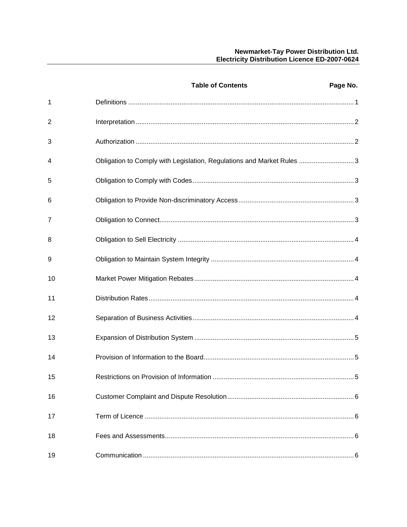|    | <b>Table of Contents</b>                                              | Page No. |
|----|-----------------------------------------------------------------------|----------|
| 1  |                                                                       |          |
| 2  |                                                                       |          |
| 3  |                                                                       |          |
| 4  | Obligation to Comply with Legislation, Regulations and Market Rules 3 |          |
| 5  |                                                                       |          |
| 6  |                                                                       |          |
| 7  |                                                                       |          |
| 8  |                                                                       |          |
| 9  |                                                                       |          |
| 10 |                                                                       |          |
| 11 |                                                                       |          |
| 12 |                                                                       |          |
| 13 |                                                                       |          |
| 14 |                                                                       |          |
| 15 |                                                                       | 5        |
| 16 |                                                                       |          |
| 17 |                                                                       |          |
| 18 |                                                                       |          |
| 19 |                                                                       |          |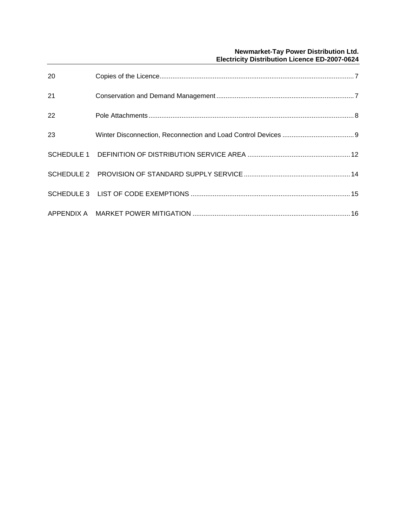# **Newmarket-Tay Power Distribution Ltd. Electricity Distribution Licence ED-2007-0624**

| 20 |  |
|----|--|
| 21 |  |
| 22 |  |
| 23 |  |
|    |  |
|    |  |
|    |  |
|    |  |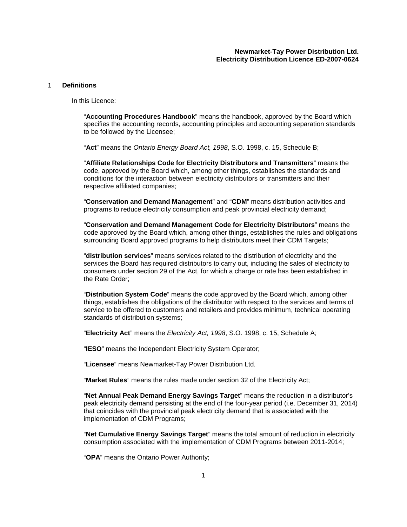#### <span id="page-4-0"></span>1 **Definitions**

In this Licence:

"**Accounting Procedures Handbook**" means the handbook, approved by the Board which specifies the accounting records, accounting principles and accounting separation standards to be followed by the Licensee;

"**Act**" means the *Ontario Energy Board Act, 1998*, S.O. 1998, c. 15, Schedule B;

"**Affiliate Relationships Code for Electricity Distributors and Transmitters**" means the code, approved by the Board which, among other things, establishes the standards and conditions for the interaction between electricity distributors or transmitters and their respective affiliated companies;

"**Conservation and Demand Management**" and "**CDM**" means distribution activities and programs to reduce electricity consumption and peak provincial electricity demand;

"**Conservation and Demand Management Code for Electricity Distributors**" means the code approved by the Board which, among other things, establishes the rules and obligations surrounding Board approved programs to help distributors meet their CDM Targets;

"**distribution services**" means services related to the distribution of electricity and the services the Board has required distributors to carry out, including the sales of electricity to consumers under section 29 of the Act, for which a charge or rate has been established in the Rate Order;

"**Distribution System Code**" means the code approved by the Board which, among other things, establishes the obligations of the distributor with respect to the services and terms of service to be offered to customers and retailers and provides minimum, technical operating standards of distribution systems;

"**Electricity Act**" means the *Electricity Act, 1998*, S.O. 1998, c. 15, Schedule A;

"**IESO**" means the Independent Electricity System Operator;

"**Licensee**" means Newmarket-Tay Power Distribution Ltd.

"**Market Rules**" means the rules made under section 32 of the Electricity Act;

"**Net Annual Peak Demand Energy Savings Target**" means the reduction in a distributor's peak electricity demand persisting at the end of the four-year period (i.e. December 31, 2014) that coincides with the provincial peak electricity demand that is associated with the implementation of CDM Programs;

"**Net Cumulative Energy Savings Target**" means the total amount of reduction in electricity consumption associated with the implementation of CDM Programs between 2011-2014;

"**OPA**" means the Ontario Power Authority;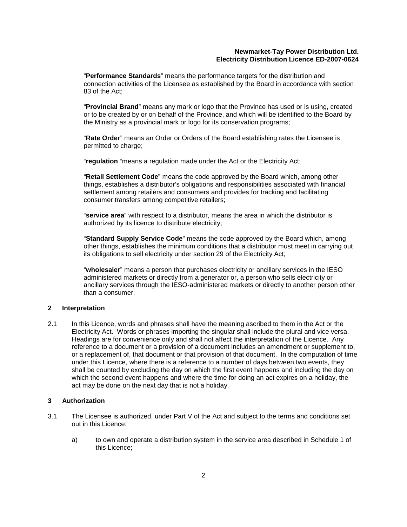"**Performance Standards**" means the performance targets for the distribution and connection activities of the Licensee as established by the Board in accordance with section 83 of the Act;

"**Provincial Brand**" means any mark or logo that the Province has used or is using, created or to be created by or on behalf of the Province, and which will be identified to the Board by the Ministry as a provincial mark or logo for its conservation programs;

"**Rate Order**" means an Order or Orders of the Board establishing rates the Licensee is permitted to charge;

"**regulation** "means a regulation made under the Act or the Electricity Act;

"**Retail Settlement Code**" means the code approved by the Board which, among other things, establishes a distributor's obligations and responsibilities associated with financial settlement among retailers and consumers and provides for tracking and facilitating consumer transfers among competitive retailers;

"**service area**" with respect to a distributor, means the area in which the distributor is authorized by its licence to distribute electricity;

"**Standard Supply Service Code**" means the code approved by the Board which, among other things, establishes the minimum conditions that a distributor must meet in carrying out its obligations to sell electricity under section 29 of the Electricity Act;

"**wholesaler**" means a person that purchases electricity or ancillary services in the IESO administered markets or directly from a generator or, a person who sells electricity or ancillary services through the IESO-administered markets or directly to another person other than a consumer.

#### <span id="page-5-0"></span>**2 Interpretation**

2.1 In this Licence, words and phrases shall have the meaning ascribed to them in the Act or the Electricity Act. Words or phrases importing the singular shall include the plural and vice versa. Headings are for convenience only and shall not affect the interpretation of the Licence. Any reference to a document or a provision of a document includes an amendment or supplement to, or a replacement of, that document or that provision of that document. In the computation of time under this Licence, where there is a reference to a number of days between two events, they shall be counted by excluding the day on which the first event happens and including the day on which the second event happens and where the time for doing an act expires on a holiday, the act may be done on the next day that is not a holiday.

#### <span id="page-5-1"></span>**3 Authorization**

- 3.1 The Licensee is authorized, under Part V of the Act and subject to the terms and conditions set out in this Licence:
	- a) to own and operate a distribution system in the service area described in Schedule 1 of this Licence;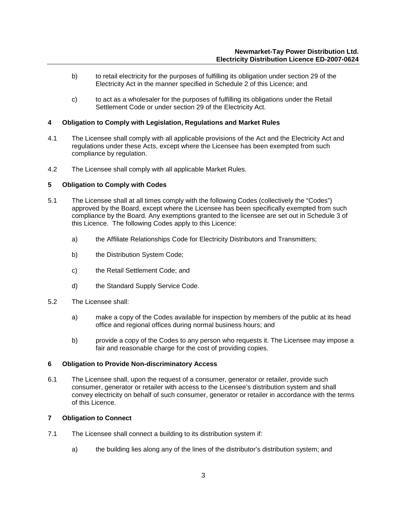- b) to retail electricity for the purposes of fulfilling its obligation under section 29 of the Electricity Act in the manner specified in Schedule 2 of this Licence; and
- c) to act as a wholesaler for the purposes of fulfilling its obligations under the Retail Settlement Code or under section 29 of the Electricity Act.

# <span id="page-6-0"></span>**4 Obligation to Comply with Legislation, Regulations and Market Rules**

- 4.1 The Licensee shall comply with all applicable provisions of the Act and the Electricity Act and regulations under these Acts, except where the Licensee has been exempted from such compliance by regulation.
- 4.2 The Licensee shall comply with all applicable Market Rules.

#### <span id="page-6-1"></span>**5 Obligation to Comply with Codes**

- 5.1 The Licensee shall at all times comply with the following Codes (collectively the "Codes") approved by the Board, except where the Licensee has been specifically exempted from such compliance by the Board. Any exemptions granted to the licensee are set out in Schedule 3 of this Licence. The following Codes apply to this Licence:
	- a) the Affiliate Relationships Code for Electricity Distributors and Transmitters;
	- b) the Distribution System Code;
	- c) the Retail Settlement Code; and
	- d) the Standard Supply Service Code.
- 5.2 The Licensee shall:
	- a) make a copy of the Codes available for inspection by members of the public at its head office and regional offices during normal business hours; and
	- b) provide a copy of the Codes to any person who requests it. The Licensee may impose a fair and reasonable charge for the cost of providing copies.

#### <span id="page-6-2"></span>**6 Obligation to Provide Non-discriminatory Access**

6.1 The Licensee shall, upon the request of a consumer, generator or retailer, provide such consumer, generator or retailer with access to the Licensee's distribution system and shall convey electricity on behalf of such consumer, generator or retailer in accordance with the terms of this Licence.

#### <span id="page-6-3"></span>**7 Obligation to Connect**

- 7.1 The Licensee shall connect a building to its distribution system if:
	- a) the building lies along any of the lines of the distributor's distribution system; and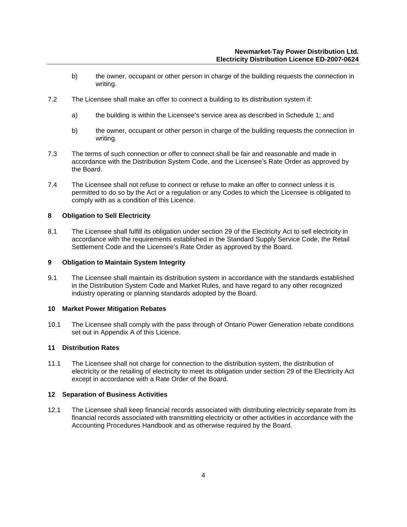- b) the owner, occupant or other person in charge of the building requests the connection in writing.
- 7.2 The Licensee shall make an offer to connect a building to its distribution system if:
	- a) the building is within the Licensee's service area as described in Schedule 1; and
	- b) the owner, occupant or other person in charge of the building requests the connection in writing.
- 7.3 The terms of such connection or offer to connect shall be fair and reasonable and made in accordance with the Distribution System Code, and the Licensee's Rate Order as approved by the Board.
- 7.4 The Licensee shall not refuse to connect or refuse to make an offer to connect unless it is permitted to do so by the Act or a regulation or any Codes to which the Licensee is obligated to comply with as a condition of this Licence.

# <span id="page-7-0"></span>**8 Obligation to Sell Electricity**

8.1 The Licensee shall fulfill its obligation under section 29 of the Electricity Act to sell electricity in accordance with the requirements established in the Standard Supply Service Code, the Retail Settlement Code and the Licensee's Rate Order as approved by the Board.

# <span id="page-7-1"></span>**9 Obligation to Maintain System Integrity**

9.1 The Licensee shall maintain its distribution system in accordance with the standards established in the Distribution System Code and Market Rules, and have regard to any other recognized industry operating or planning standards adopted by the Board.

# <span id="page-7-2"></span>**10 Market Power Mitigation Rebates**

10.1 The Licensee shall comply with the pass through of Ontario Power Generation rebate conditions set out in Appendix A of this Licence.

# <span id="page-7-3"></span>**11 Distribution Rates**

11.1 The Licensee shall not charge for connection to the distribution system, the distribution of electricity or the retailing of electricity to meet its obligation under section 29 of the Electricity Act except in accordance with a Rate Order of the Board.

# <span id="page-7-4"></span>**12 Separation of Business Activities**

12.1 The Licensee shall keep financial records associated with distributing electricity separate from its financial records associated with transmitting electricity or other activities in accordance with the Accounting Procedures Handbook and as otherwise required by the Board.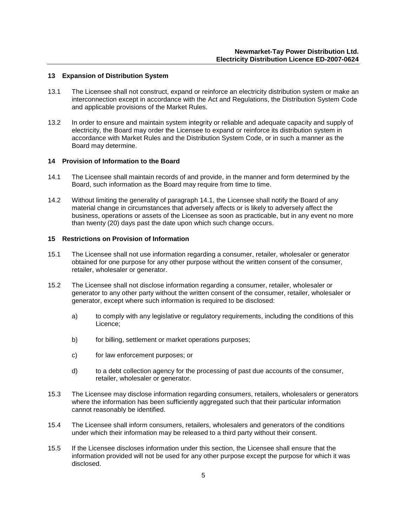#### <span id="page-8-0"></span>**13 Expansion of Distribution System**

- 13.1 The Licensee shall not construct, expand or reinforce an electricity distribution system or make an interconnection except in accordance with the Act and Regulations, the Distribution System Code and applicable provisions of the Market Rules.
- 13.2 In order to ensure and maintain system integrity or reliable and adequate capacity and supply of electricity, the Board may order the Licensee to expand or reinforce its distribution system in accordance with Market Rules and the Distribution System Code, or in such a manner as the Board may determine.

#### <span id="page-8-1"></span>**14 Provision of Information to the Board**

- 14.1 The Licensee shall maintain records of and provide, in the manner and form determined by the Board, such information as the Board may require from time to time.
- 14.2 Without limiting the generality of paragraph 14.1, the Licensee shall notify the Board of any material change in circumstances that adversely affects or is likely to adversely affect the business, operations or assets of the Licensee as soon as practicable, but in any event no more than twenty (20) days past the date upon which such change occurs.

#### <span id="page-8-2"></span>**15 Restrictions on Provision of Information**

- 15.1 The Licensee shall not use information regarding a consumer, retailer, wholesaler or generator obtained for one purpose for any other purpose without the written consent of the consumer, retailer, wholesaler or generator.
- 15.2 The Licensee shall not disclose information regarding a consumer, retailer, wholesaler or generator to any other party without the written consent of the consumer, retailer, wholesaler or generator, except where such information is required to be disclosed:
	- a) to comply with any legislative or regulatory requirements, including the conditions of this Licence;
	- b) for billing, settlement or market operations purposes;
	- c) for law enforcement purposes; or
	- d) to a debt collection agency for the processing of past due accounts of the consumer, retailer, wholesaler or generator.
- 15.3 The Licensee may disclose information regarding consumers, retailers, wholesalers or generators where the information has been sufficiently aggregated such that their particular information cannot reasonably be identified.
- 15.4 The Licensee shall inform consumers, retailers, wholesalers and generators of the conditions under which their information may be released to a third party without their consent.
- 15.5 If the Licensee discloses information under this section, the Licensee shall ensure that the information provided will not be used for any other purpose except the purpose for which it was disclosed.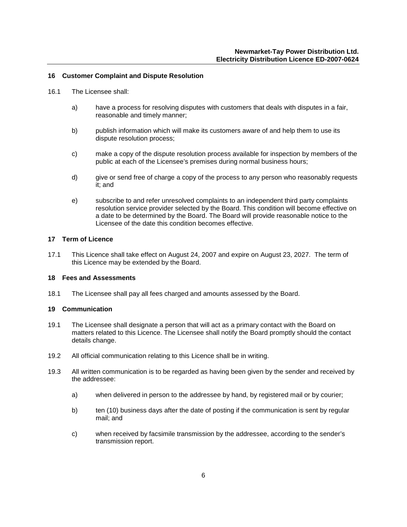# <span id="page-9-0"></span>**16 Customer Complaint and Dispute Resolution**

- 16.1 The Licensee shall:
	- a) have a process for resolving disputes with customers that deals with disputes in a fair, reasonable and timely manner;
	- b) publish information which will make its customers aware of and help them to use its dispute resolution process;
	- c) make a copy of the dispute resolution process available for inspection by members of the public at each of the Licensee's premises during normal business hours;
	- d) give or send free of charge a copy of the process to any person who reasonably requests it; and
	- e) subscribe to and refer unresolved complaints to an independent third party complaints resolution service provider selected by the Board. This condition will become effective on a date to be determined by the Board. The Board will provide reasonable notice to the Licensee of the date this condition becomes effective.

#### <span id="page-9-1"></span>**17 Term of Licence**

17.1 This Licence shall take effect on August 24, 2007 and expire on August 23, 2027. The term of this Licence may be extended by the Board.

# <span id="page-9-2"></span>**18 Fees and Assessments**

18.1 The Licensee shall pay all fees charged and amounts assessed by the Board.

# <span id="page-9-3"></span>**19 Communication**

- 19.1 The Licensee shall designate a person that will act as a primary contact with the Board on matters related to this Licence. The Licensee shall notify the Board promptly should the contact details change.
- 19.2 All official communication relating to this Licence shall be in writing.
- 19.3 All written communication is to be regarded as having been given by the sender and received by the addressee:
	- a) when delivered in person to the addressee by hand, by registered mail or by courier;
	- b) ten (10) business days after the date of posting if the communication is sent by regular mail; and
	- c) when received by facsimile transmission by the addressee, according to the sender's transmission report.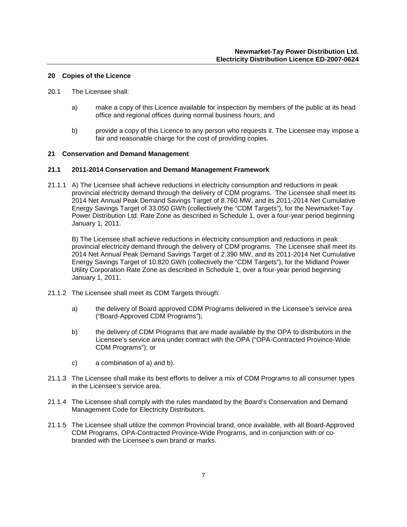#### <span id="page-10-0"></span>**20 Copies of the Licence**

- 20.1 The Licensee shall:
	- a) make a copy of this Licence available for inspection by members of the public at its head office and regional offices during normal business hours; and
	- b) provide a copy of this Licence to any person who requests it. The Licensee may impose a fair and reasonable charge for the cost of providing copies.

#### <span id="page-10-1"></span>**21 Conservation and Demand Management**

#### **21.1 2011-2014 Conservation and Demand Management Framework**

21.1.1 A) The Licensee shall achieve reductions in electricity consumption and reductions in peak provincial electricity demand through the delivery of CDM programs. The Licensee shall meet its 2014 Net Annual Peak Demand Savings Target of 8.760 MW, and its 2011-2014 Net Cumulative Energy Savings Target of 33.050 GWh (collectively the "CDM Targets"), for the Newmarket-Tay Power Distribution Ltd. Rate Zone as described in Schedule 1, over a four-year period beginning January 1, 2011.

B) The Licensee shall achieve reductions in electricity consumption and reductions in peak provincial electricity demand through the delivery of CDM programs. The Licensee shall meet its 2014 Net Annual Peak Demand Savings Target of 2.390 MW, and its 2011-2014 Net Cumulative Energy Savings Target of 10.820 GWh (collectively the "CDM Targets"), for the Midland Power Utility Corporation Rate Zone as described in Schedule 1, over a four-year period beginning January 1, 2011.

- 21.1.2 The Licensee shall meet its CDM Targets through:
	- a) the delivery of Board approved CDM Programs delivered in the Licensee's service area ("Board-Approved CDM Programs");
	- b) the delivery of CDM Programs that are made available by the OPA to distributors in the Licensee's service area under contract with the OPA ("OPA-Contracted Province-Wide CDM Programs"); or
	- c) a combination of a) and b).
- 21.1.3 The Licensee shall make its best efforts to deliver a mix of CDM Programs to all consumer types in the Licensee's service area.
- 21.1.4 The Licensee shall comply with the rules mandated by the Board's Conservation and Demand Management Code for Electricity Distributors.
- 21.1.5 The Licensee shall utilize the common Provincial brand, once available, with all Board-Approved CDM Programs, OPA-Contracted Province-Wide Programs, and in conjunction with or cobranded with the Licensee's own brand or marks.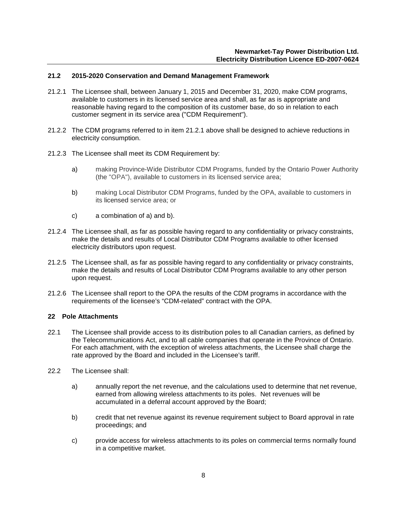# **21.2 2015-2020 Conservation and Demand Management Framework**

- 21.2.1 The Licensee shall, between January 1, 2015 and December 31, 2020, make CDM programs, available to customers in its licensed service area and shall, as far as is appropriate and reasonable having regard to the composition of its customer base, do so in relation to each customer segment in its service area ("CDM Requirement").
- 21.2.2 The CDM programs referred to in item 21.2.1 above shall be designed to achieve reductions in electricity consumption.
- 21.2.3 The Licensee shall meet its CDM Requirement by:
	- a) making Province-Wide Distributor CDM Programs, funded by the Ontario Power Authority (the "OPA"), available to customers in its licensed service area;
	- b) making Local Distributor CDM Programs, funded by the OPA, available to customers in its licensed service area; or
	- c) a combination of a) and b).
- 21.2.4 The Licensee shall, as far as possible having regard to any confidentiality or privacy constraints, make the details and results of Local Distributor CDM Programs available to other licensed electricity distributors upon request.
- 21.2.5 The Licensee shall, as far as possible having regard to any confidentiality or privacy constraints, make the details and results of Local Distributor CDM Programs available to any other person upon request.
- 21.2.6 The Licensee shall report to the OPA the results of the CDM programs in accordance with the requirements of the licensee's "CDM-related" contract with the OPA.

# <span id="page-11-0"></span>**22 Pole Attachments**

- 22.1 The Licensee shall provide access to its distribution poles to all Canadian carriers, as defined by the Telecommunications Act, and to all cable companies that operate in the Province of Ontario. For each attachment, with the exception of wireless attachments, the Licensee shall charge the rate approved by the Board and included in the Licensee's tariff.
- 22.2 The Licensee shall:
	- a) annually report the net revenue, and the calculations used to determine that net revenue, earned from allowing wireless attachments to its poles. Net revenues will be accumulated in a deferral account approved by the Board;
	- b) credit that net revenue against its revenue requirement subject to Board approval in rate proceedings; and
	- c) provide access for wireless attachments to its poles on commercial terms normally found in a competitive market.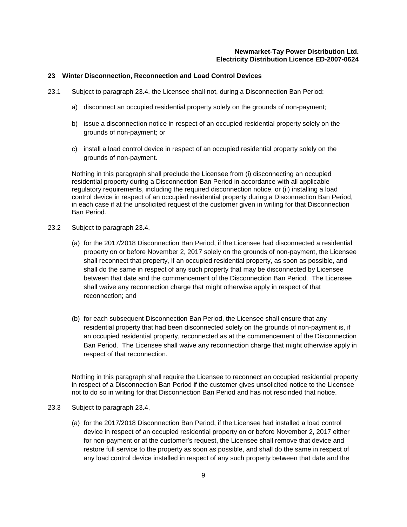#### <span id="page-12-0"></span>**23 Winter Disconnection, Reconnection and Load Control Devices**

- 23.1 Subject to paragraph 23.4, the Licensee shall not, during a Disconnection Ban Period:
	- a) disconnect an occupied residential property solely on the grounds of non-payment;
	- b) issue a disconnection notice in respect of an occupied residential property solely on the grounds of non-payment; or
	- c) install a load control device in respect of an occupied residential property solely on the grounds of non-payment.

Nothing in this paragraph shall preclude the Licensee from (i) disconnecting an occupied residential property during a Disconnection Ban Period in accordance with all applicable regulatory requirements, including the required disconnection notice, or (ii) installing a load control device in respect of an occupied residential property during a Disconnection Ban Period, in each case if at the unsolicited request of the customer given in writing for that Disconnection Ban Period.

- 23.2 Subject to paragraph 23.4,
	- (a) for the 2017/2018 Disconnection Ban Period, if the Licensee had disconnected a residential property on or before November 2, 2017 solely on the grounds of non-payment, the Licensee shall reconnect that property, if an occupied residential property, as soon as possible, and shall do the same in respect of any such property that may be disconnected by Licensee between that date and the commencement of the Disconnection Ban Period. The Licensee shall waive any reconnection charge that might otherwise apply in respect of that reconnection; and
	- (b) for each subsequent Disconnection Ban Period, the Licensee shall ensure that any residential property that had been disconnected solely on the grounds of non-payment is, if an occupied residential property, reconnected as at the commencement of the Disconnection Ban Period. The Licensee shall waive any reconnection charge that might otherwise apply in respect of that reconnection.

Nothing in this paragraph shall require the Licensee to reconnect an occupied residential property in respect of a Disconnection Ban Period if the customer gives unsolicited notice to the Licensee not to do so in writing for that Disconnection Ban Period and has not rescinded that notice.

- 23.3 Subject to paragraph 23.4,
	- (a) for the 2017/2018 Disconnection Ban Period, if the Licensee had installed a load control device in respect of an occupied residential property on or before November 2, 2017 either for non-payment or at the customer's request, the Licensee shall remove that device and restore full service to the property as soon as possible, and shall do the same in respect of any load control device installed in respect of any such property between that date and the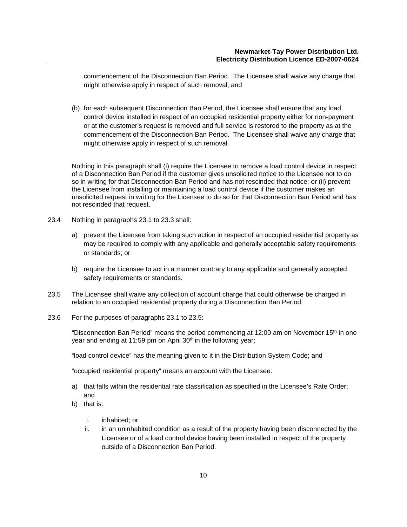commencement of the Disconnection Ban Period. The Licensee shall waive any charge that might otherwise apply in respect of such removal; and

(b) for each subsequent Disconnection Ban Period, the Licensee shall ensure that any load control device installed in respect of an occupied residential property either for non-payment or at the customer's request is removed and full service is restored to the property as at the commencement of the Disconnection Ban Period. The Licensee shall waive any charge that might otherwise apply in respect of such removal.

Nothing in this paragraph shall (i) require the Licensee to remove a load control device in respect of a Disconnection Ban Period if the customer gives unsolicited notice to the Licensee not to do so in writing for that Disconnection Ban Period and has not rescinded that notice; or (ii) prevent the Licensee from installing or maintaining a load control device if the customer makes an unsolicited request in writing for the Licensee to do so for that Disconnection Ban Period and has not rescinded that request.

- 23.4 Nothing in paragraphs 23.1 to 23.3 shall:
	- a) prevent the Licensee from taking such action in respect of an occupied residential property as may be required to comply with any applicable and generally acceptable safety requirements or standards; or
	- b) require the Licensee to act in a manner contrary to any applicable and generally accepted safety requirements or standards.
- 23.5 The Licensee shall waive any collection of account charge that could otherwise be charged in relation to an occupied residential property during a Disconnection Ban Period.
- 23.6 For the purposes of paragraphs 23.1 to 23.5:

"Disconnection Ban Period" means the period commencing at 12:00 am on November 15<sup>th</sup> in one year and ending at 11:59 pm on April 30<sup>th</sup> in the following year;

"load control device" has the meaning given to it in the Distribution System Code; and

"occupied residential property" means an account with the Licensee:

- a) that falls within the residential rate classification as specified in the Licensee's Rate Order; and
- b) that is:
	- i. inhabited; or
	- ii. in an uninhabited condition as a result of the property having been disconnected by the Licensee or of a load control device having been installed in respect of the property outside of a Disconnection Ban Period.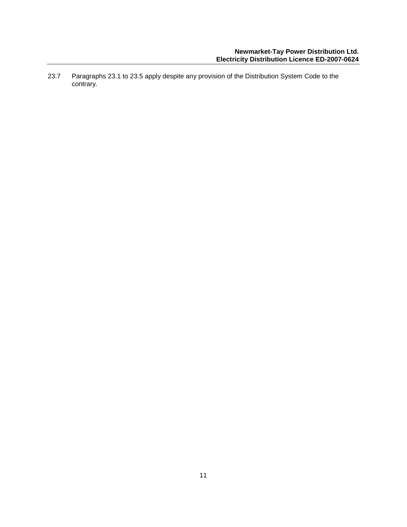23.7 Paragraphs 23.1 to 23.5 apply despite any provision of the Distribution System Code to the contrary.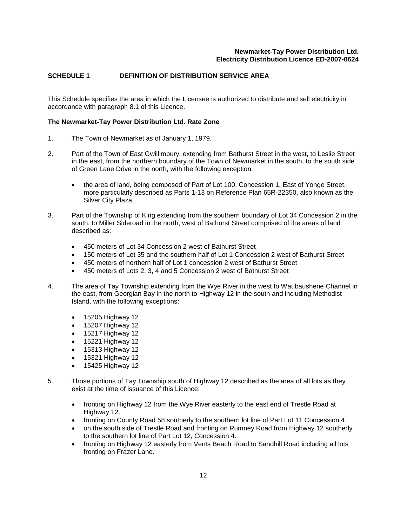# <span id="page-15-0"></span>**SCHEDULE 1 DEFINITION OF DISTRIBUTION SERVICE AREA**

This Schedule specifies the area in which the Licensee is authorized to distribute and sell electricity in accordance with paragraph 8.1 of this Licence.

#### **The Newmarket-Tay Power Distribution Ltd. Rate Zone**

- 1. The Town of Newmarket as of January 1, 1979.
- 2. Part of the Town of East Gwillimbury, extending from Bathurst Street in the west, to Leslie Street in the east, from the northern boundary of the Town of Newmarket in the south, to the south side of Green Lane Drive in the north, with the following exception:
	- the area of land, being composed of Part of Lot 100, Concession 1, East of Yonge Street, more particularly described as Parts 1-13 on Reference Plan 65R-22350, also known as the Silver City Plaza.
- 3. Part of the Township of King extending from the southern boundary of Lot 34 Concession 2 in the south, to Miller Sideroad in the north, west of Bathurst Street comprised of the areas of land described as:
	- 450 meters of Lot 34 Concession 2 west of Bathurst Street
	- 150 meters of Lot 35 and the southern half of Lot 1 Concession 2 west of Bathurst Street
	- 450 meters of northern half of Lot 1 concession 2 west of Bathurst Street
	- 450 meters of Lots 2, 3, 4 and 5 Concession 2 west of Bathurst Street
- 4. The area of Tay Township extending from the Wye River in the west to Waubaushene Channel in the east, from Georgian Bay in the north to Highway 12 in the south and including Methodist Island, with the following exceptions:
	- 15205 Highway 12
	- 15207 Highway 12
	- 15217 Highway 12
	- 15221 Highway 12
	- 15313 Highway 12
	- 15321 Highway 12
	- 15425 Highway 12
- 5. Those portions of Tay Township south of Highway 12 described as the area of all lots as they exist at the time of issuance of this Licence:
	- fronting on Highway 12 from the Wye River easterly to the east end of Trestle Road at Highway 12.
	- fronting on County Road 58 southerly to the southern lot line of Part Lot 11 Concession 4.
	- on the south side of Trestle Road and fronting on Rumney Road from Highway 12 southerly to the southern lot line of Part Lot 12, Concession 4.
	- fronting on Highway 12 easterly from Vents Beach Road to Sandhill Road including all lots fronting on Frazer Lane.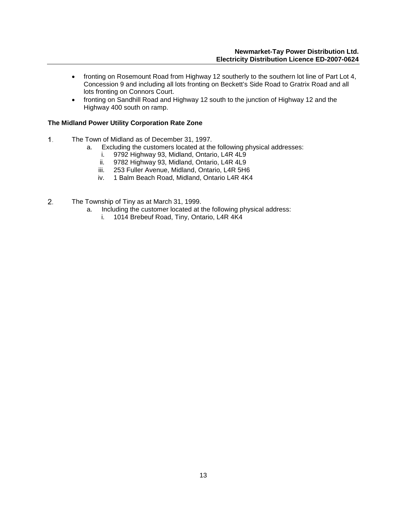- fronting on Rosemount Road from Highway 12 southerly to the southern lot line of Part Lot 4, Concession 9 and including all lots fronting on Beckett's Side Road to Gratrix Road and all lots fronting on Connors Court.
- fronting on Sandhill Road and Highway 12 south to the junction of Highway 12 and the Highway 400 south on ramp.

# **The Midland Power Utility Corporation Rate Zone**

- $1.$ The Town of Midland as of December 31, 1997.
	- a. Excluding the customers located at the following physical addresses:
		- i. 9792 Highway 93, Midland, Ontario, L4R 4L9
		- 9782 Highway 93, Midland, Ontario, L4R 4L9
		- iii. 253 Fuller Avenue, Midland, Ontario, L4R 5H6
		- iv. 1 Balm Beach Road, Midland, Ontario L4R 4K4
- $2.$ The Township of Tiny as at March 31, 1999.
	- a. Including the customer located at the following physical address:
		- i. 1014 Brebeuf Road, Tiny, Ontario, L4R 4K4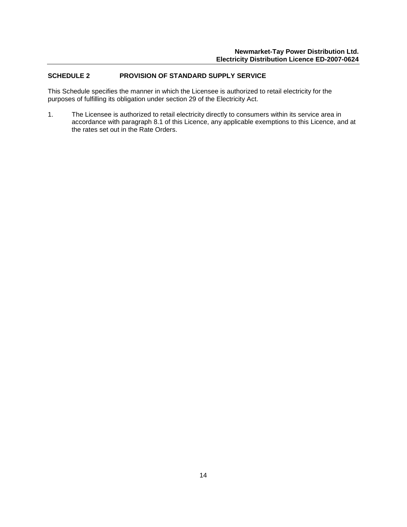# <span id="page-17-0"></span>**SCHEDULE 2 PROVISION OF STANDARD SUPPLY SERVICE**

This Schedule specifies the manner in which the Licensee is authorized to retail electricity for the purposes of fulfilling its obligation under section 29 of the Electricity Act.

1. The Licensee is authorized to retail electricity directly to consumers within its service area in accordance with paragraph 8.1 of this Licence, any applicable exemptions to this Licence, and at the rates set out in the Rate Orders.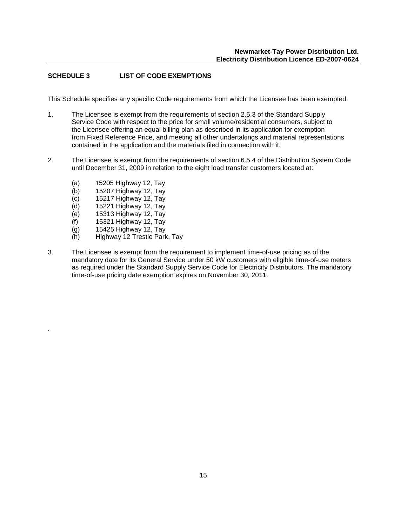# <span id="page-18-0"></span>**SCHEDULE 3 LIST OF CODE EXEMPTIONS**

This Schedule specifies any specific Code requirements from which the Licensee has been exempted.

- 1. The Licensee is exempt from the requirements of section 2.5.3 of the Standard Supply Service Code with respect to the price for small volume/residential consumers, subject to the Licensee offering an equal billing plan as described in its application for exemption from Fixed Reference Price, and meeting all other undertakings and material representations contained in the application and the materials filed in connection with it.
- 2. The Licensee is exempt from the requirements of section 6.5.4 of the Distribution System Code until December 31, 2009 in relation to the eight load transfer customers located at:
	- (a) 15205 Highway 12, Tay
	- (b) 15207 Highway 12, Tay
	- (c) 15217 Highway 12, Tay
	- (d) 15221 Highway 12, Tay
	- (e) 15313 Highway 12, Tay
	- (f) 15321 Highway 12, Tay
	- (g) 15425 Highway 12, Tay

.

- (h) Highway 12 Trestle Park, Tay
- 3. The Licensee is exempt from the requirement to implement time-of-use pricing as of the mandatory date for its General Service under 50 kW customers with eligible time-of-use meters as required under the Standard Supply Service Code for Electricity Distributors. The mandatory time-of-use pricing date exemption expires on November 30, 2011.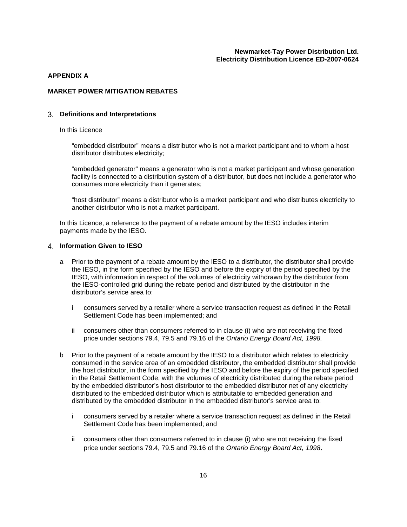#### <span id="page-19-0"></span>**APPENDIX A**

# **MARKET POWER MITIGATION REBATES**

#### **Definitions and Interpretations**

#### In this Licence

"embedded distributor" means a distributor who is not a market participant and to whom a host distributor distributes electricity;

"embedded generator" means a generator who is not a market participant and whose generation facility is connected to a distribution system of a distributor, but does not include a generator who consumes more electricity than it generates;

"host distributor" means a distributor who is a market participant and who distributes electricity to another distributor who is not a market participant.

In this Licence, a reference to the payment of a rebate amount by the IESO includes interim payments made by the IESO.

#### **Information Given to IESO**

- a Prior to the payment of a rebate amount by the IESO to a distributor, the distributor shall provide the IESO, in the form specified by the IESO and before the expiry of the period specified by the IESO, with information in respect of the volumes of electricity withdrawn by the distributor from the IESO-controlled grid during the rebate period and distributed by the distributor in the distributor's service area to:
	- i consumers served by a retailer where a service transaction request as defined in the Retail Settlement Code has been implemented; and
	- ii consumers other than consumers referred to in clause (i) who are not receiving the fixed price under sections 79.4, 79.5 and 79.16 of the *Ontario Energy Board Act, 1998.*
- b Prior to the payment of a rebate amount by the IESO to a distributor which relates to electricity consumed in the service area of an embedded distributor, the embedded distributor shall provide the host distributor, in the form specified by the IESO and before the expiry of the period specified in the Retail Settlement Code, with the volumes of electricity distributed during the rebate period by the embedded distributor's host distributor to the embedded distributor net of any electricity distributed to the embedded distributor which is attributable to embedded generation and distributed by the embedded distributor in the embedded distributor's service area to:
	- i consumers served by a retailer where a service transaction request as defined in the Retail Settlement Code has been implemented; and
	- ii consumers other than consumers referred to in clause (i) who are not receiving the fixed price under sections 79.4, 79.5 and 79.16 of the *Ontario Energy Board Act, 1998*.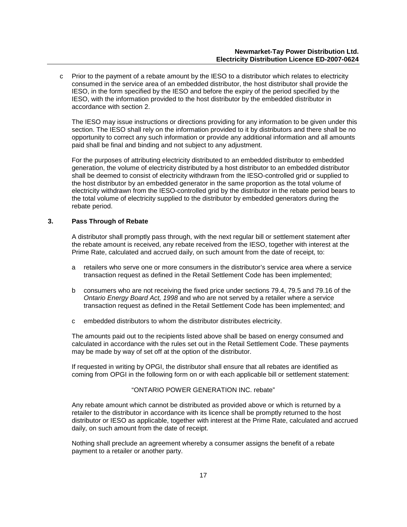c Prior to the payment of a rebate amount by the IESO to a distributor which relates to electricity consumed in the service area of an embedded distributor, the host distributor shall provide the IESO, in the form specified by the IESO and before the expiry of the period specified by the IESO, with the information provided to the host distributor by the embedded distributor in accordance with section 2.

The IESO may issue instructions or directions providing for any information to be given under this section. The IESO shall rely on the information provided to it by distributors and there shall be no opportunity to correct any such information or provide any additional information and all amounts paid shall be final and binding and not subject to any adjustment.

For the purposes of attributing electricity distributed to an embedded distributor to embedded generation, the volume of electricity distributed by a host distributor to an embedded distributor shall be deemed to consist of electricity withdrawn from the IESO-controlled grid or supplied to the host distributor by an embedded generator in the same proportion as the total volume of electricity withdrawn from the IESO-controlled grid by the distributor in the rebate period bears to the total volume of electricity supplied to the distributor by embedded generators during the rebate period.

# **3. Pass Through of Rebate**

A distributor shall promptly pass through, with the next regular bill or settlement statement after the rebate amount is received, any rebate received from the IESO, together with interest at the Prime Rate, calculated and accrued daily, on such amount from the date of receipt, to:

- a retailers who serve one or more consumers in the distributor's service area where a service transaction request as defined in the Retail Settlement Code has been implemented;
- b consumers who are not receiving the fixed price under sections 79.4, 79.5 and 79.16 of the *Ontario Energy Board Act, 1998* and who are not served by a retailer where a service transaction request as defined in the Retail Settlement Code has been implemented; and
- c embedded distributors to whom the distributor distributes electricity.

The amounts paid out to the recipients listed above shall be based on energy consumed and calculated in accordance with the rules set out in the Retail Settlement Code. These payments may be made by way of set off at the option of the distributor.

If requested in writing by OPGI, the distributor shall ensure that all rebates are identified as coming from OPGI in the following form on or with each applicable bill or settlement statement:

# "ONTARIO POWER GENERATION INC. rebate"

Any rebate amount which cannot be distributed as provided above or which is returned by a retailer to the distributor in accordance with its licence shall be promptly returned to the host distributor or IESO as applicable, together with interest at the Prime Rate, calculated and accrued daily, on such amount from the date of receipt.

Nothing shall preclude an agreement whereby a consumer assigns the benefit of a rebate payment to a retailer or another party.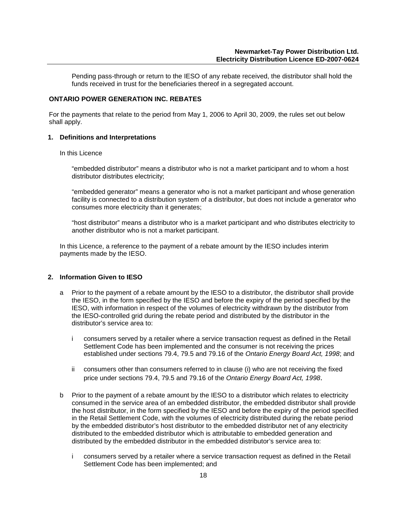Pending pass-through or return to the IESO of any rebate received, the distributor shall hold the funds received in trust for the beneficiaries thereof in a segregated account.

# **ONTARIO POWER GENERATION INC. REBATES**

For the payments that relate to the period from May 1, 2006 to April 30, 2009, the rules set out below shall apply.

#### **1. Definitions and Interpretations**

#### In this Licence

"embedded distributor" means a distributor who is not a market participant and to whom a host distributor distributes electricity;

"embedded generator" means a generator who is not a market participant and whose generation facility is connected to a distribution system of a distributor, but does not include a generator who consumes more electricity than it generates;

"host distributor" means a distributor who is a market participant and who distributes electricity to another distributor who is not a market participant.

In this Licence, a reference to the payment of a rebate amount by the IESO includes interim payments made by the IESO.

#### **2. Information Given to IESO**

- a Prior to the payment of a rebate amount by the IESO to a distributor, the distributor shall provide the IESO, in the form specified by the IESO and before the expiry of the period specified by the IESO, with information in respect of the volumes of electricity withdrawn by the distributor from the IESO-controlled grid during the rebate period and distributed by the distributor in the distributor's service area to:
	- i consumers served by a retailer where a service transaction request as defined in the Retail Settlement Code has been implemented and the consumer is not receiving the prices established under sections 79.4, 79.5 and 79.16 of the *Ontario Energy Board Act, 1998*; and
	- ii consumers other than consumers referred to in clause (i) who are not receiving the fixed price under sections 79.4, 79.5 and 79.16 of the *Ontario Energy Board Act, 1998*.
- b Prior to the payment of a rebate amount by the IESO to a distributor which relates to electricity consumed in the service area of an embedded distributor, the embedded distributor shall provide the host distributor, in the form specified by the IESO and before the expiry of the period specified in the Retail Settlement Code, with the volumes of electricity distributed during the rebate period by the embedded distributor's host distributor to the embedded distributor net of any electricity distributed to the embedded distributor which is attributable to embedded generation and distributed by the embedded distributor in the embedded distributor's service area to:
	- i consumers served by a retailer where a service transaction request as defined in the Retail Settlement Code has been implemented; and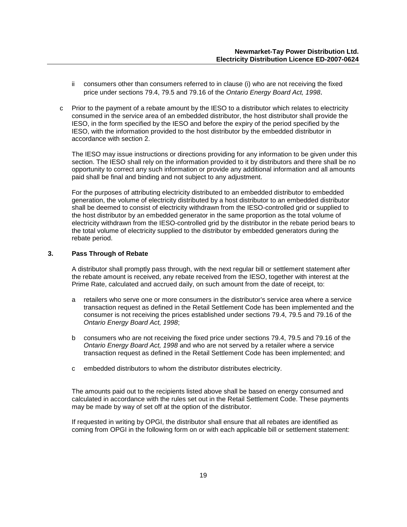- ii consumers other than consumers referred to in clause (i) who are not receiving the fixed price under sections 79.4, 79.5 and 79.16 of the *Ontario Energy Board Act, 1998*.
- c Prior to the payment of a rebate amount by the IESO to a distributor which relates to electricity consumed in the service area of an embedded distributor, the host distributor shall provide the IESO, in the form specified by the IESO and before the expiry of the period specified by the IESO, with the information provided to the host distributor by the embedded distributor in accordance with section 2.

The IESO may issue instructions or directions providing for any information to be given under this section. The IESO shall rely on the information provided to it by distributors and there shall be no opportunity to correct any such information or provide any additional information and all amounts paid shall be final and binding and not subject to any adjustment.

For the purposes of attributing electricity distributed to an embedded distributor to embedded generation, the volume of electricity distributed by a host distributor to an embedded distributor shall be deemed to consist of electricity withdrawn from the IESO-controlled grid or supplied to the host distributor by an embedded generator in the same proportion as the total volume of electricity withdrawn from the IESO-controlled grid by the distributor in the rebate period bears to the total volume of electricity supplied to the distributor by embedded generators during the rebate period.

#### **3. Pass Through of Rebate**

A distributor shall promptly pass through, with the next regular bill or settlement statement after the rebate amount is received, any rebate received from the IESO, together with interest at the Prime Rate, calculated and accrued daily, on such amount from the date of receipt, to:

- a retailers who serve one or more consumers in the distributor's service area where a service transaction request as defined in the Retail Settlement Code has been implemented and the consumer is not receiving the prices established under sections 79.4, 79.5 and 79.16 of the *Ontario Energy Board Act, 1998*;
- b consumers who are not receiving the fixed price under sections 79.4, 79.5 and 79.16 of the *Ontario Energy Board Act, 1998* and who are not served by a retailer where a service transaction request as defined in the Retail Settlement Code has been implemented; and
- c embedded distributors to whom the distributor distributes electricity.

The amounts paid out to the recipients listed above shall be based on energy consumed and calculated in accordance with the rules set out in the Retail Settlement Code. These payments may be made by way of set off at the option of the distributor.

If requested in writing by OPGI, the distributor shall ensure that all rebates are identified as coming from OPGI in the following form on or with each applicable bill or settlement statement: